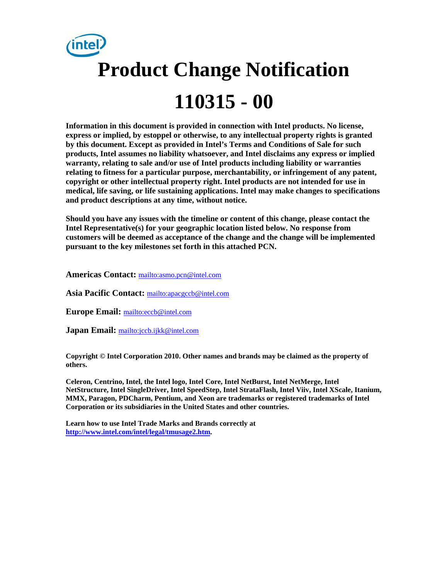

**Information in this document is provided in connection with Intel products. No license, express or implied, by estoppel or otherwise, to any intellectual property rights is granted by this document. Except as provided in Intel's Terms and Conditions of Sale for such products, Intel assumes no liability whatsoever, and Intel disclaims any express or implied warranty, relating to sale and/or use of Intel products including liability or warranties relating to fitness for a particular purpose, merchantability, or infringement of any patent, copyright or other intellectual property right. Intel products are not intended for use in medical, life saving, or life sustaining applications. Intel may make changes to specifications and product descriptions at any time, without notice.** 

**Should you have any issues with the timeline or content of this change, please contact the Intel Representative(s) for your geographic location listed below. No response from customers will be deemed as acceptance of the change and the change will be implemented pursuant to the key milestones set forth in this attached PCN.** 

**Americas Contact:** mailto:asmo.pcn@intel.com

**Asia Pacific Contact:** mailto:apacgccb@intel.com

**Europe Email:** mailto:eccb@intel.com

**Japan Email:** mailto:jccb.ijkk@intel.com

**Copyright © Intel Corporation 2010. Other names and brands may be claimed as the property of others.**

**Celeron, Centrino, Intel, the Intel logo, Intel Core, Intel NetBurst, Intel NetMerge, Intel NetStructure, Intel SingleDriver, Intel SpeedStep, Intel StrataFlash, Intel Viiv, Intel XScale, Itanium, MMX, Paragon, PDCharm, Pentium, and Xeon are trademarks or registered trademarks of Intel Corporation or its subsidiaries in the United States and other countries.** 

**Learn how to use Intel Trade Marks and Brands correctly at http://www.intel.com/intel/legal/tmusage2.htm.**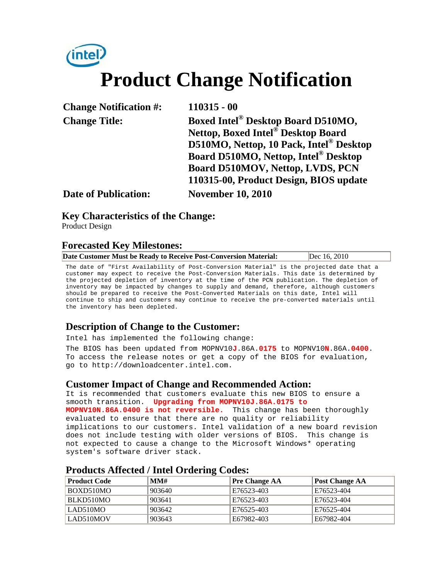# *(intel)* **Product Change Notification**

| <b>Change Notification #:</b> | $110315 - 00$                                  |
|-------------------------------|------------------------------------------------|
| <b>Change Title:</b>          | Boxed Intel <sup>®</sup> Desktop Board D510MO, |
|                               | Nettop, Boxed Intel <sup>®</sup> Desktop Board |
|                               | D510MO, Nettop, 10 Pack, Intel® Desktop        |
|                               | Board D510MO, Nettop, Intel® Desktop           |
|                               | Board D510MOV, Nettop, LVDS, PCN               |
|                               | 110315-00, Product Design, BIOS update         |
| <b>Date of Publication:</b>   | <b>November 10, 2010</b>                       |

### **Key Characteristics of the Change:**

Product Design

### **Forecasted Key Milestones:**

|--|

The date of "First Availability of Post-Conversion Material" is the projected date that a customer may expect to receive the Post-Conversion Materials. This date is determined by the projected depletion of inventory at the time of the PCN publication. The depletion of inventory may be impacted by changes to supply and demand, therefore, although customers should be prepared to receive the Post-Converted Materials on this date, Intel will continue to ship and customers may continue to receive the pre-converted materials until the inventory has been depleted.

## **Description of Change to the Customer:**

Intel has implemented the following change:

The BIOS has been updated from MOPNV10**J**.86A.**0175** to MOPNV10**N**.86A.**0400**. To access the release notes or get a copy of the BIOS for evaluation, go to http://downloadcenter.intel.com.

#### **Customer Impact of Change and Recommended Action:**

It is recommended that customers evaluate this new BIOS to ensure a smooth transition. **Upgrading from MOPNV10J.86A.0175 to MOPNV10N.86A.0400 is not reversible.** This change has been thoroughly evaluated to ensure that there are no quality or reliability implications to our customers. Intel validation of a new board revision does not include testing with older versions of BIOS. This change is not expected to cause a change to the Microsoft Windows\* operating system's software driver stack.

| <b>Product Code</b> | MMH    | <b>Pre Change AA</b> | Post Change AA |  |
|---------------------|--------|----------------------|----------------|--|
| BOXD510MO           | 903640 | E76523-403           | E76523-404     |  |
| BLKD510MO           | 903641 | E76523-403           | E76523-404     |  |
| LAD510MO            | 903642 | E76525-403           | E76525-404     |  |
| LAD510MOV           | 903643 | E67982-403           | E67982-404     |  |

#### **Products Affected / Intel Ordering Codes:**